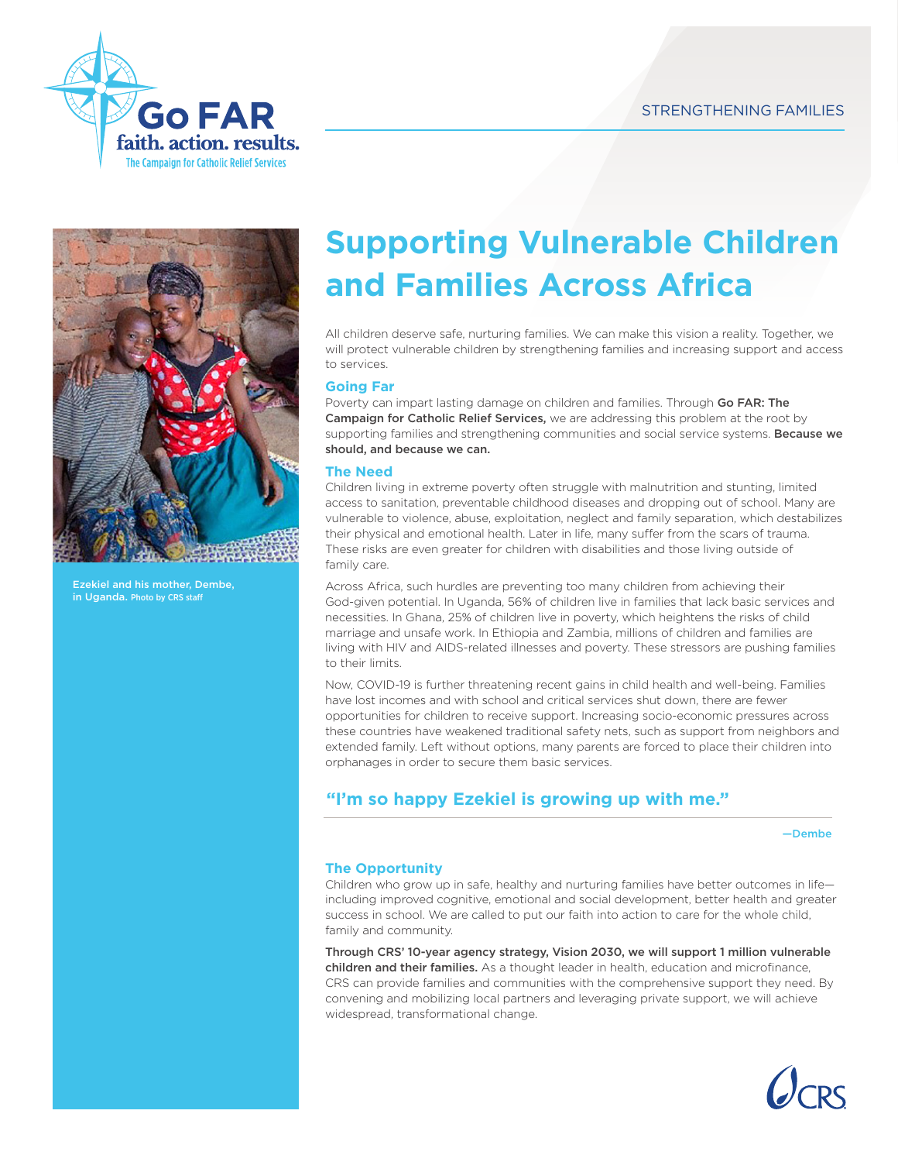



Ezekiel and his mother, Dembe, in Uganda. Photo by CRS staff

# **Supporting Vulnerable Children and Families Across Africa**

All children deserve safe, nurturing families. We can make this vision a reality. Together, we will protect vulnerable children by strengthening families and increasing support and access to services.

#### **Going Far**

Poverty can impart lasting damage on children and families. Through Go FAR: The Campaign for Catholic Relief Services, we are addressing this problem at the root by supporting families and strengthening communities and social service systems. Because we should, and because we can.

#### **The Need**

Children living in extreme poverty often struggle with malnutrition and stunting, limited access to sanitation, preventable childhood diseases and dropping out of school. Many are vulnerable to violence, abuse, exploitation, neglect and family separation, which destabilizes their physical and emotional health. Later in life, many suffer from the scars of trauma. These risks are even greater for children with disabilities and those living outside of family care.

Across Africa, such hurdles are preventing too many children from achieving their God-given potential. In Uganda, 56% of children live in families that lack basic services and necessities. In Ghana, 25% of children live in poverty, which heightens the risks of child marriage and unsafe work. In Ethiopia and Zambia, millions of children and families are living with HIV and AIDS-related illnesses and poverty. These stressors are pushing families to their limits.

Now, COVID-19 is further threatening recent gains in child health and well-being. Families have lost incomes and with school and critical services shut down, there are fewer opportunities for children to receive support. Increasing socio-economic pressures across these countries have weakened traditional safety nets, such as support from neighbors and extended family. Left without options, many parents are forced to place their children into orphanages in order to secure them basic services.

## **"I'm so happy Ezekiel is growing up with me."**

—Dembe

### **The Opportunity**

Children who grow up in safe, healthy and nurturing families have better outcomes in life including improved cognitive, emotional and social development, better health and greater success in school. We are called to put our faith into action to care for the whole child, family and community.

Through CRS' 10-year agency strategy, Vision 2030, we will support 1 million vulnerable children and their families. As a thought leader in health, education and microfinance, CRS can provide families and communities with the comprehensive support they need. By convening and mobilizing local partners and leveraging private support, we will achieve widespread, transformational change.